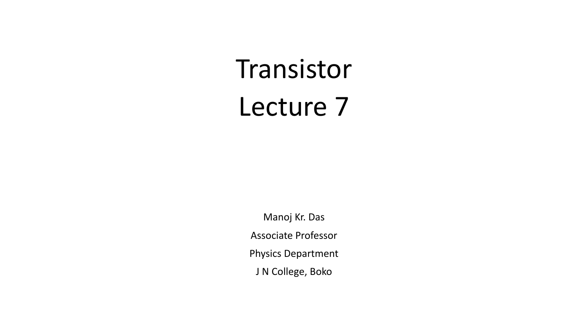# Transistor Lecture 7

Manoj Kr. Das Associate Professor Physics Department J N College, Boko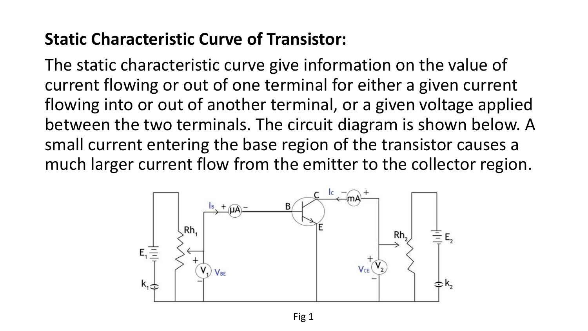#### **Static Characteristic Curve of Transistor:**

The static characteristic curve give information on the value of current flowing or out of one terminal for either a given current flowing into or out of another terminal, or a given voltage applied between the two terminals. The circuit diagram is shown below. A small current entering the base region of the transistor causes a much larger current flow from the emitter to the collector region.

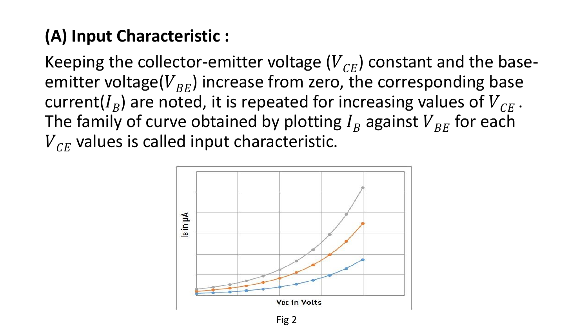### **(A) Input Characteristic :**

Keeping the collector-emitter voltage  $(V_{CE})$  constant and the baseemitter voltage( $V_{BE}$ ) increase from zero, the corresponding base current( $I_B$ ) are noted, it is repeated for increasing values of  ${V}_{CE}$  . The family of curve obtained by plotting  $I_B$  against  $V_{BE}$  for each  $V_{CF}$  values is called input characteristic.

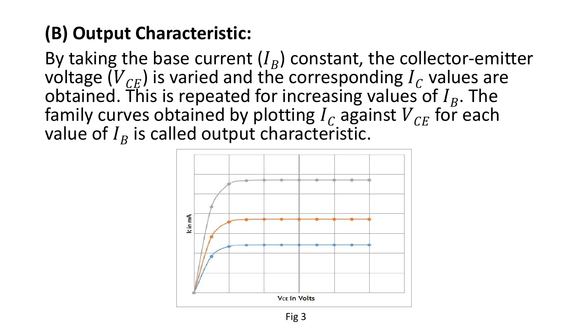## **(B) Output Characteristic:**

By taking the base current  $(I_B)$  constant, the collector-emitter voltage  $(V_{CE})$  is varied and the corresponding  $I_C$  values are obtained. This is repeated for increasing values of  $I_B$ . The family curves obtained by plotting  $I_c$  against  $V_{CE}$  for each value of  $I_B$  is called output characteristic.

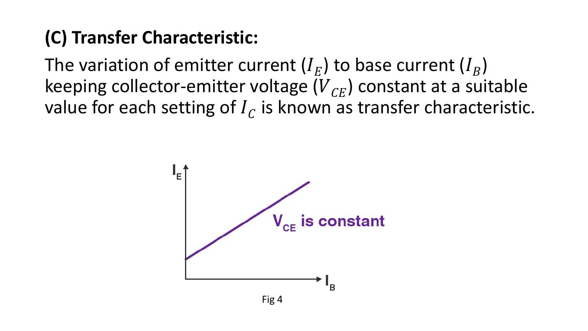## **(C) Transfer Characteristic:**

The variation of emitter current ( $I_E$ ) to base current ( $I_B$ ) keeping collector-emitter voltage  $(V_{CF})$  constant at a suitable value for each setting of  $I_C$  is known as transfer characteristic.

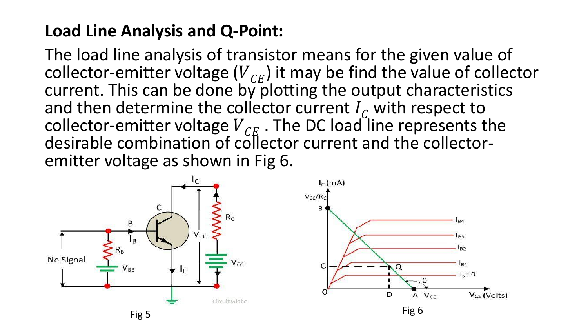#### **Load Line Analysis and Q-Point:**

The load line analysis of transistor means for the given value of collector-emitter voltage  $(V_{CF})$  it may be find the value of collector current. This can be done by plotting the output characteristics and then determine the collector current  $I_c$  with respect to collector-emitter voltage  $V_{CE}$ . The DC load line represents the desirable combination of collector current and the collectoremitter voltage as shown in Fig 6.

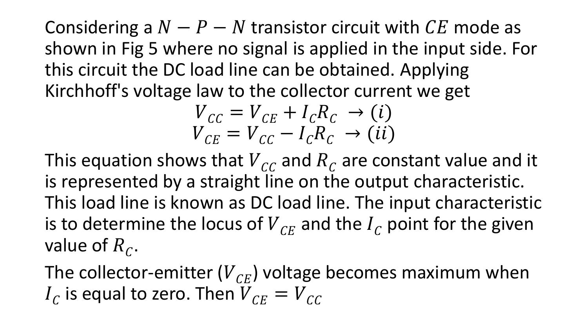Considering a  $N - P - N$  transistor circuit with  $CE$  mode as shown in Fig 5 where no signal is applied in the input side. For this circuit the DC load line can be obtained. Applying Kirchhoff's voltage law to the collector current we get

$$
\begin{aligned} V_{cc} &= V_{CE} + I_c R_c \rightarrow (i) \\ V_{CE} &= V_{CC} - I_c R_c \rightarrow (ii) \end{aligned}
$$

This equation shows that  $\overline{V}_{CC}$  and  $\overline{R}_C$  are constant value and it is represented by a straight line on the output characteristic. This load line is known as DC load line. The input characteristic is to determine the locus of  $V_{CF}$  and the  $I_C$  point for the given value of  $R_{\mathcal{C}}$ .

The collector-emitter  $(V_{CE})$  voltage becomes maximum when  $I_{\mathcal{C}}$  is equal to zero. Then  ${V}_{\mathcal{C} E} = {V}_{\mathcal{C} C}$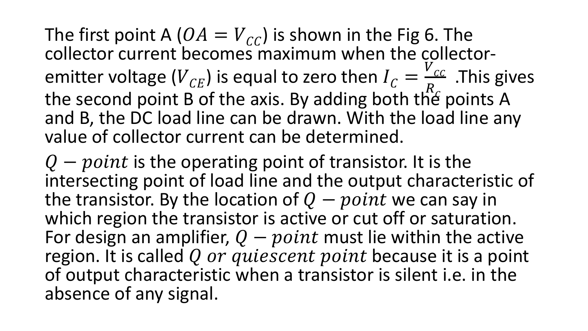The first point A ( $OA = V_{CC}$ ) is shown in the Fig 6. The collector current becomes maximum when the collectoremitter voltage ( $V_{CE}$ ) is equal to zero then  $I_C =$  $V$ <sub>CC</sub>  $R_{\mathcal{L}}$ .This gives the second point B of the axis. By adding both the points A and B, the DC load line can be drawn. With the load line any value of collector current can be determined.

 $Q$  – point is the operating point of transistor. It is the intersecting point of load line and the output characteristic of the transistor. By the location of  $Q - point$  we can say in which region the transistor is active or cut off or saturation. For design an amplifier,  $Q - point$  must lie within the active region. It is called Q or quiescent point because it is a point of output characteristic when a transistor is silent i.e. in the absence of any signal.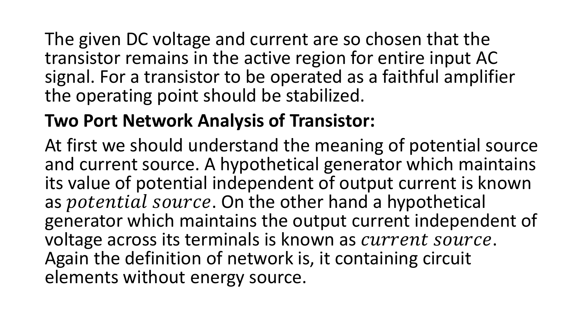The given DC voltage and current are so chosen that the transistor remains in the active region for entire input AC signal. For a transistor to be operated as a faithful amplifier the operating point should be stabilized.

## **Two Port Network Analysis of Transistor:**

At first we should understand the meaning of potential source and current source. A hypothetical generator which maintains its value of potential independent of output current is known as *potential source*. On the other hand a hypothetical generator which maintains the output current independent of voltage across its terminals is known as *current source*. Again the definition of network is, it containing circuit elements without energy source.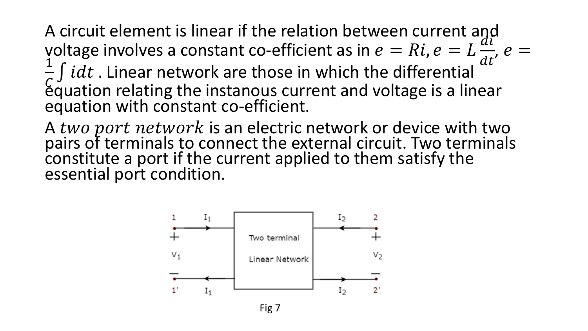A circuit element is linear if the relation between current and yoltage involves a constant co-efficient as in  $e = Ri$ ,  $e = Li$  $di$  $dt$ ,  $e =$ 1  $\zeta$  $\int idt$  . Linear network are those in which the differential equation relating the instanous current and voltage is a linear equation with constant co-efficient.

A two port network is an electric network or device with two pairs of terminals to connect the external circuit. Two terminals constitute a port if the current applied to them satisfy the essential port condition.



Fig 7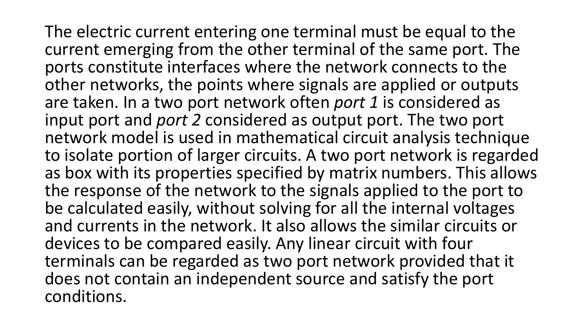The electric current entering one terminal must be equal to the current emerging from the other terminal of the same port. The ports constitute interfaces where the network connects to the other networks, the points where signals are applied or outputs are taken. In a two port network often *port 1* is considered as input port and *port 2* considered as output port. The two port network model is used in mathematical circuit analysis technique to isolate portion of larger circuits. A two port network is regarded as box with its properties specified by matrix numbers. This allows the response of the network to the signals applied to the port to be calculated easily, without solving for all the internal voltages and currents in the network. It also allows the similar circuits or devices to be compared easily. Any linear circuit with four terminals can be regarded as two port network provided that it does not contain an independent source and satisfy the port conditions.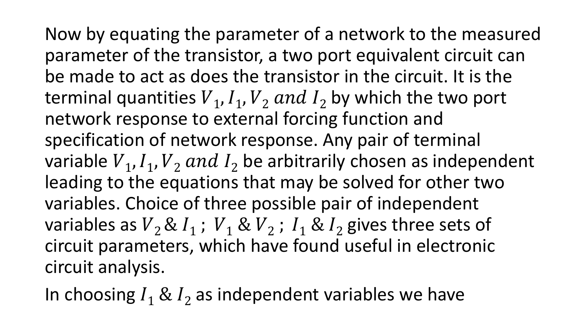Now by equating the parameter of a network to the measured parameter of the transistor, a two port equivalent circuit can be made to act as does the transistor in the circuit. It is the terminal quantities  $V_1$ ,  $I_1$ ,  $V_2$  and  $I_2$  by which the two port network response to external forcing function and specification of network response. Any pair of terminal variable  $V_1$ ,  $I_1$ ,  $V_2$  and  $I_2$  be arbitrarily chosen as independent leading to the equations that may be solved for other two variables. Choice of three possible pair of independent variables as  $V_2 \& I_1$ ;  $V_1 \& V_2$ ;  $I_1 \& I_2$  gives three sets of circuit parameters, which have found useful in electronic circuit analysis.

In choosing  $I_1 \& I_2$  as independent variables we have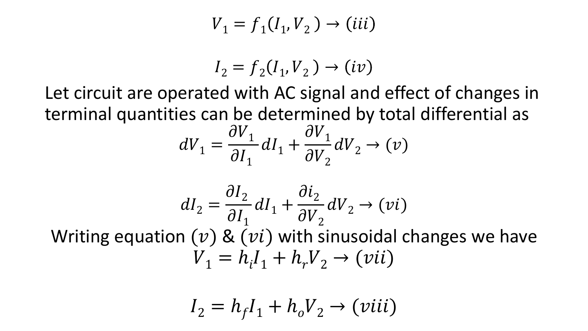$$
V_1 = f_1(I_1, V_2) \rightarrow (iii)
$$

$$
I_2 = f_2(I_1, V_2) \rightarrow (iv)
$$

Let circuit are operated with AC signal and effect of changes in terminal quantities can be determined by total differential as

$$
dV_1 = \frac{\partial V_1}{\partial I_1} dI_1 + \frac{\partial V_1}{\partial V_2} dV_2 \rightarrow (v)
$$

$$
dI_2 = \frac{\partial I_2}{\partial I_1} dI_1 + \frac{\partial i_2}{\partial V_2} dV_2 \rightarrow (vi)
$$
  
equation (v) & (vi) with sinusoidal change

Writing equation  $(v)$  &  $(vi)$  with sinusoidal changes we have  $V_1 = h_i I_1 + h_r V_2 \rightarrow (vii)$ 

$$
I_2 = h_f I_1 + h_o V_2 \rightarrow (viii)
$$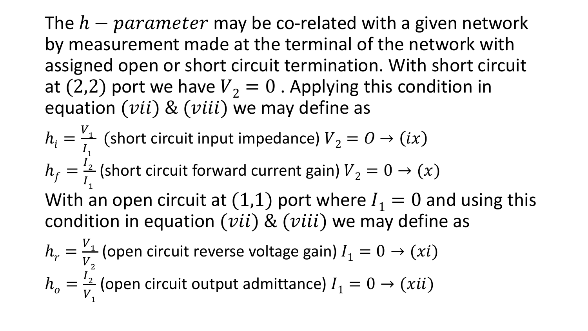The  $h$  –  $parameter$  may be co-related with a given network by measurement made at the terminal of the network with assigned open or short circuit termination. With short circuit at (2,2) port we have  $V_2 = 0$ . Applying this condition in equation  $(vii)$  &  $(viii)$  we may define as

$$
h_i = \frac{V_1}{I_1}
$$
 (short circuit input impedance)  $V_2 = 0 \rightarrow (ix)$   
\n
$$
h_f = \frac{I_2}{I_1}
$$
 (short circuit forward current gain)  $V_2 = 0 \rightarrow (x)$   
\nWith an open circuit at (1,1) port where  $I_1 = 0$  and using this  
\ncondition in equation (*vii*) & (*viii*) we may define as  
\n
$$
h_r = \frac{V_1}{V_2}
$$
 (open circuit reverse voltage gain)  $I_1 = 0 \rightarrow (xi)$ 

$$
h_o = \frac{I_2}{V_1}
$$
 (open circuit output admittance)  $I_1 = 0 \rightarrow (xii)$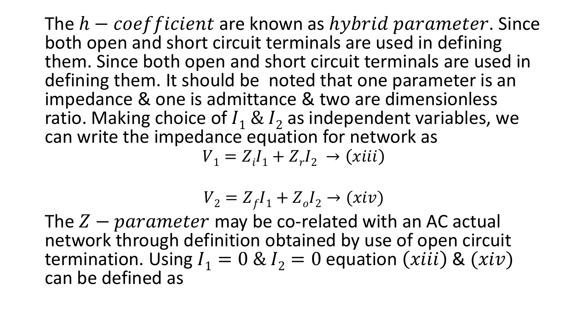The  $h$  – coef ficient are known as  $hybrid$  parameter. Since both open and short circuit terminals are used in defining them. Since both open and short circuit terminals are used in defining them. It should be noted that one parameter is an impedance & one is admittance & two are dimensionless ratio. Making choice of  $I_1 \& I_2$  as independent variables, we can write the impedance equation for network as

 $V_1 = Z_i I_1 + Z_r I_2 \to (xiii)$ 

$$
V_2 = Z_f I_1 + Z_o I_2 \rightarrow (xiv)
$$

The  $Z-parameter$  may be co-related with an AC actual network through definition obtained by use of open circuit termination. Using  $I_1 = 0$  &  $I_2 = 0$  equation  $(xiii)$  &  $(xiv)$ can be defined as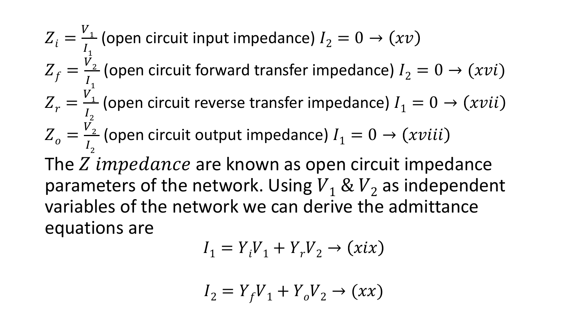$$
Z_i = \frac{V_1}{I_1}
$$
 (open circuit input impedance)  $I_2 = 0 \rightarrow (xv)$   
\n
$$
Z_f = \frac{V_2}{I_1}
$$
 (open circuit forward transfer impedance)  $I_2 = 0 \rightarrow (xvi)$   
\n
$$
Z_r = \frac{V_1}{I_2}
$$
 (open circuit reverse transfer impedance)  $I_1 = 0 \rightarrow (xvii)$   
\n
$$
Z_o = \frac{V_2}{I_2}
$$
 (open circuit output impedance)  $I_1 = 0 \rightarrow (xviii)$   
\nThe Z impedance are known as open circuit impedance parameters of the network. Using  $V_1 \& V_2$  as independent variables of the network we can derive the admittance equations are

$$
I_1 = Y_i V_1 + Y_r V_2 \rightarrow (xix)
$$

$$
I_2 = Y_f V_1 + Y_o V_2 \rightarrow (xx)
$$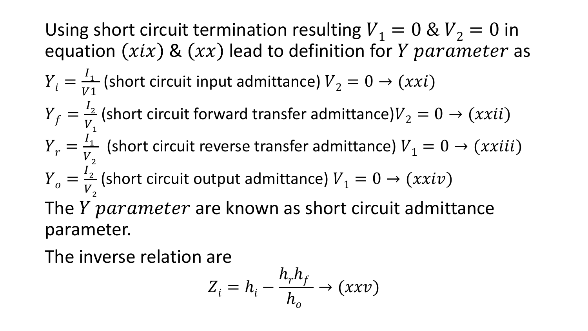Using short circuit termination resulting  $V_1 = 0 & 0$   $V_2 = 0$  in equation  $(xix)$  &  $(xx)$  lead to definition for *Y parameter* as  $Y_i =$  $\frac{1}{1}$  $\frac{I_1}{V_1}$  (short circuit input admittance)  $V_2 = 0 \rightarrow (xxi)$  $Y_f =$  $I_{2}$  $V_{1}$ (short circuit forward transfer admittance) $V_2 = 0 \rightarrow (xxii)$  $Y_r =$  $I_1$  $V_{2}$ (short circuit reverse transfer admittance)  $V_1 = 0 \rightarrow (xxiii)$  $Y_o =$  $I_{2}$  $V_{2}$ (short circuit output admittance)  $V_1 = 0 \rightarrow (xxiv)$ The  $Y$   $\mathcal{V}$  parameter are known as short circuit admittance parameter.

The inverse relation are

$$
Z_i = h_i - \frac{h_r h_f}{h_o} \to (xxv)
$$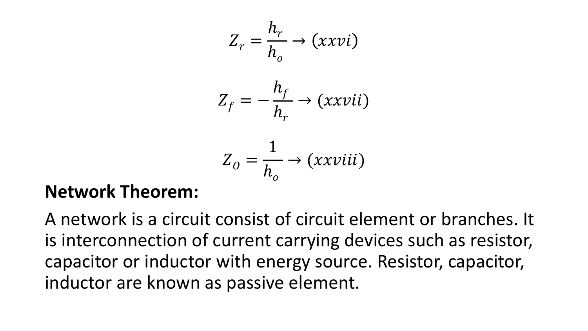$$
Z_r = \frac{h_r}{h_o} \rightarrow (xxvi)
$$
  

$$
Z_f = -\frac{h_f}{h_r} \rightarrow (xxvii)
$$
  

$$
Z_o = \frac{1}{h_o} \rightarrow (xxviii)
$$

#### **Network Theorem:**

A network is a circuit consist of circuit element or branches. It is interconnection of current carrying devices such as resistor, capacitor or inductor with energy source. Resistor, capacitor, inductor are known as passive element.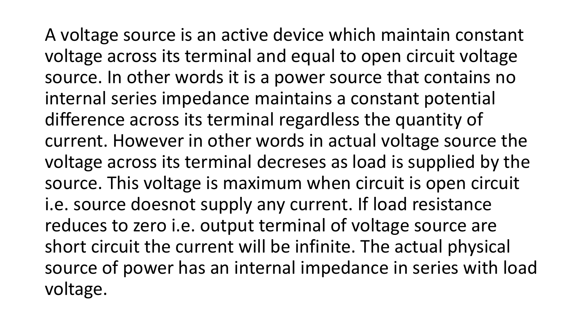A voltage source is an active device which maintain constant voltage across its terminal and equal to open circuit voltage source. In other words it is a power source that contains no internal series impedance maintains a constant potential difference across its terminal regardless the quantity of current. However in other words in actual voltage source the voltage across its terminal decreses as load is supplied by the source. This voltage is maximum when circuit is open circuit i.e. source doesnot supply any current. If load resistance reduces to zero i.e. output terminal of voltage source are short circuit the current will be infinite. The actual physical source of power has an internal impedance in series with load voltage.